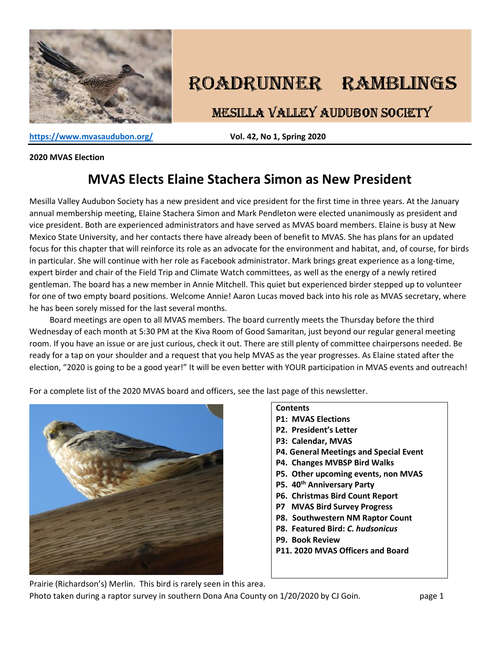

# ROADRUNNER RAMBLINGS

**MESILLA VALLEY AUDUBON SOCIETY** 

**<https://www.mvasaudubon.org/>Vol. 42, No 1, Spring 2020** 

#### **2020 MVAS Election**

# **MVAS Elects Elaine Stachera Simon as New President**

Mesilla Valley Audubon Society has a new president and vice president for the first time in three years. At the January annual membership meeting, Elaine Stachera Simon and Mark Pendleton were elected unanimously as president and vice president. Both are experienced administrators and have served as MVAS board members. Elaine is busy at New Mexico State University, and her contacts there have already been of benefit to MVAS. She has plans for an updated focus for this chapter that will reinforce its role as an advocate for the environment and habitat, and, of course, for birds in particular. She will continue with her role as Facebook administrator. Mark brings great experience as a long-time, expert birder and chair of the Field Trip and Climate Watch committees, as well as the energy of a newly retired gentleman. The board has a new member in Annie Mitchell. This quiet but experienced birder stepped up to volunteer for one of two empty board positions. Welcome Annie! Aaron Lucas moved back into his role as MVAS secretary, where he has been sorely missed for the last several months.

 Board meetings are open to all MVAS members. The board currently meets the Thursday before the third Wednesday of each month at 5:30 PM at the Kiva Room of Good Samaritan, just beyond our regular general meeting room. If you have an issue or are just curious, check it out. There are still plenty of committee chairpersons needed. Be ready for a tap on your shoulder and a request that you help MVAS as the year progresses. As Elaine stated after the election, "2020 is going to be a good year!" It will be even better with YOUR participation in MVAS events and outreach!

For a complete list of the 2020 MVAS board and officers, see the last page of this newsletter.



#### **Contents**

- **P1: MVAS Elections**
- **P2. President's Letter**
- **P3: Calendar, MVAS**
- **P4. General Meetings and Special Event**
- **P4. Changes MVBSP Bird Walks**
- **P5. Other upcoming events, non MVAS**
- **P5. 40th Anniversary Party**
- **P6. Christmas Bird Count Report**
- **P7 MVAS Bird Survey Progress**
- **P8. Southwestern NM Raptor Count**
- **P8. Featured Bird:** *C. hudsonicus*
- **P9. Book Review**
- **P11. 2020 MVAS Officers and Board**

Prairie (Richardson's) Merlin. This bird is rarely seen in this area.

Photo taken during a raptor survey in southern Dona Ana County on 1/20/2020 by CJ Goin. page 1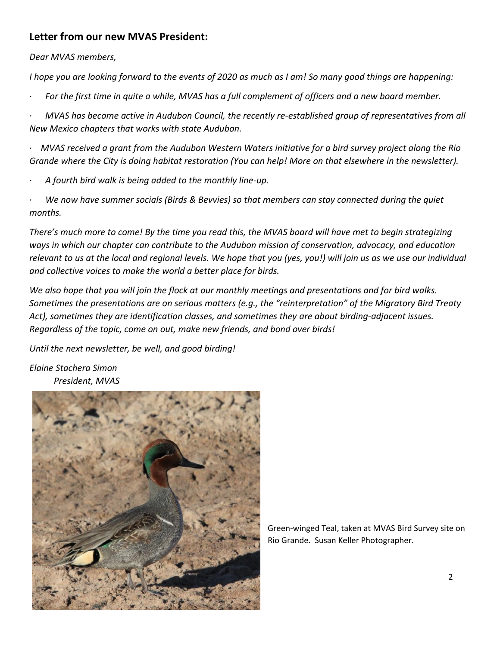### **Letter from our new MVAS President:**

*Dear MVAS members,*

*I hope you are looking forward to the events of 2020 as much as I am! So many good things are happening:*

*· For the first time in quite a while, MVAS has a full complement of officers and a new board member.*

*· MVAS has become active in Audubon Council, the recently re-established group of representatives from all New Mexico chapters that works with state Audubon.*

*· MVAS received a grant from the Audubon Western Waters initiative for a bird survey project along the Rio Grande where the City is doing habitat restoration (You can help! More on that elsewhere in the newsletter).*

- *· A fourth bird walk is being added to the monthly line-up.*
- *· We now have summer socials (Birds & Bevvies) so that members can stay connected during the quiet months.*

*There's much more to come! By the time you read this, the MVAS board will have met to begin strategizing ways in which our chapter can contribute to the Audubon mission of conservation, advocacy, and education relevant to us at the local and regional levels. We hope that you (yes, you!) will join us as we use our individual and collective voices to make the world a better place for birds.*

*We also hope that you will join the flock at our monthly meetings and presentations and for bird walks. Sometimes the presentations are on serious matters (e.g., the "reinterpretation" of the Migratory Bird Treaty Act), sometimes they are identification classes, and sometimes they are about birding-adjacent issues. Regardless of the topic, come on out, make new friends, and bond over birds!*

*Until the next newsletter, be well, and good birding!*

*Elaine Stachera Simon President, MVAS*



Green-winged Teal, taken at MVAS Bird Survey site on Rio Grande. Susan Keller Photographer.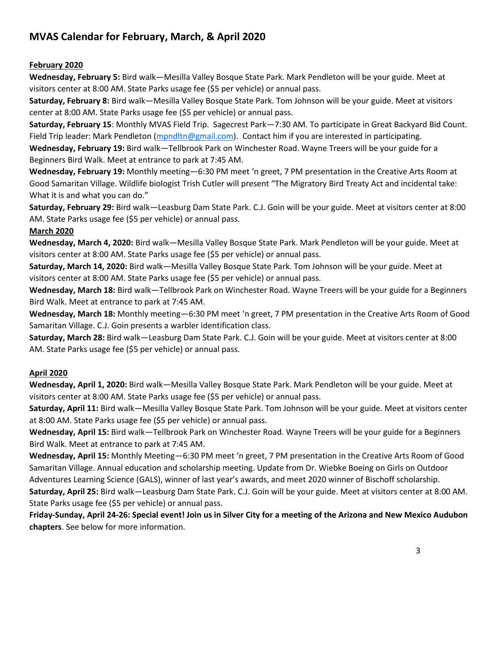### **MVAS Calendar for February, March, & April 2020**

### **February 2020**

**Wednesday, February 5:** Bird walk—Mesilla Valley Bosque State Park. Mark Pendleton will be your guide. Meet at visitors center at 8:00 AM. State Parks usage fee (\$5 per vehicle) or annual pass.

**Saturday, February 8:** Bird walk—Mesilla Valley Bosque State Park. Tom Johnson will be your guide. Meet at visitors center at 8:00 AM. State Parks usage fee (\$5 per vehicle) or annual pass.

**Saturday, February 15**: Monthly MVAS Field Trip. Sagecrest Park—7:30 AM. To participate in Great Backyard Bid Count. Field Trip leader: Mark Pendleton [\(mpndltn@gmail.com\)](mailto:mpndltn@gmail.com). Contact him if you are interested in participating.

**Wednesday, February 19:** Bird walk—Tellbrook Park on Winchester Road. Wayne Treers will be your guide for a Beginners Bird Walk. Meet at entrance to park at 7:45 AM.

**Wednesday, February 19:** Monthly meeting—6:30 PM meet 'n greet, 7 PM presentation in the Creative Arts Room at Good Samaritan Village. Wildlife biologist Trish Cutler will present "The Migratory Bird Treaty Act and incidental take: What it is and what you can do."

**Saturday, February 29:** Bird walk—Leasburg Dam State Park. C.J. Goin will be your guide. Meet at visitors center at 8:00 AM. State Parks usage fee (\$5 per vehicle) or annual pass.

#### **March 2020**

**Wednesday, March 4, 2020:** Bird walk—Mesilla Valley Bosque State Park. Mark Pendleton will be your guide. Meet at visitors center at 8:00 AM. State Parks usage fee (\$5 per vehicle) or annual pass.

**Saturday, March 14, 2020:** Bird walk—Mesilla Valley Bosque State Park. Tom Johnson will be your guide. Meet at visitors center at 8:00 AM. State Parks usage fee (\$5 per vehicle) or annual pass.

**Wednesday, March 18:** Bird walk—Tellbrook Park on Winchester Road. Wayne Treers will be your guide for a Beginners Bird Walk. Meet at entrance to park at 7:45 AM.

**Wednesday, March 18:** Monthly meeting—6:30 PM meet 'n greet, 7 PM presentation in the Creative Arts Room of Good Samaritan Village. C.J. Goin presents a warbler identification class.

**Saturday, March 28:** Bird walk—Leasburg Dam State Park. C.J. Goin will be your guide. Meet at visitors center at 8:00 AM. State Parks usage fee (\$5 per vehicle) or annual pass.

#### **April 2020**

**Wednesday, April 1, 2020:** Bird walk—Mesilla Valley Bosque State Park. Mark Pendleton will be your guide. Meet at visitors center at 8:00 AM. State Parks usage fee (\$5 per vehicle) or annual pass.

**Saturday, April 11:** Bird walk—Mesilla Valley Bosque State Park. Tom Johnson will be your guide. Meet at visitors center at 8:00 AM. State Parks usage fee (\$5 per vehicle) or annual pass.

**Wednesday, April 15:** Bird walk—Tellbrook Park on Winchester Road. Wayne Treers will be your guide for a Beginners Bird Walk. Meet at entrance to park at 7:45 AM.

**Wednesday, April 15:** Monthly Meeting—6:30 PM meet 'n greet, 7 PM presentation in the Creative Arts Room of Good Samaritan Village. Annual education and scholarship meeting. Update from Dr. Wiebke Boeing on Girls on Outdoor Adventures Learning Science (GALS), winner of last year's awards, and meet 2020 winner of Bischoff scholarship.

**Saturday, April 25:** Bird walk—Leasburg Dam State Park. C.J. Goin will be your guide. Meet at visitors center at 8:00 AM. State Parks usage fee (\$5 per vehicle) or annual pass.

**Friday-Sunday, April 24-26: Special event! Join us in Silver City for a meeting of the Arizona and New Mexico Audubon chapters**. See below for more information.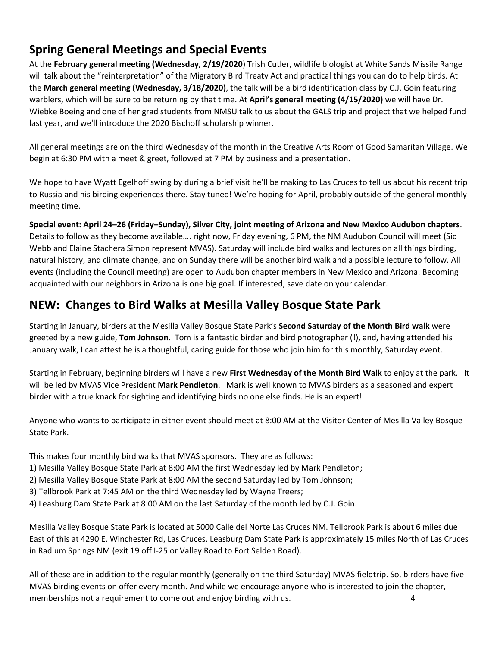# **Spring General Meetings and Special Events**

At the **February general meeting (Wednesday, 2/19/2020**) Trish Cutler, wildlife biologist at White Sands Missile Range will talk about the "reinterpretation" of the Migratory Bird Treaty Act and practical things you can do to help birds. At the **March general meeting (Wednesday, 3/18/2020)**, the talk will be a bird identification class by C.J. Goin featuring warblers, which will be sure to be returning by that time. At **April's general meeting (4/15/2020)** we will have Dr. Wiebke Boeing and one of her grad students from NMSU talk to us about the GALS trip and project that we helped fund last year, and we'll introduce the 2020 Bischoff scholarship winner.

All general meetings are on the third Wednesday of the month in the Creative Arts Room of Good Samaritan Village. We begin at 6:30 PM with a meet & greet, followed at 7 PM by business and a presentation.

We hope to have Wyatt Egelhoff swing by during a brief visit he'll be making to Las Cruces to tell us about his recent trip to Russia and his birding experiences there. Stay tuned! We're hoping for April, probably outside of the general monthly meeting time.

**Special event: April 24–26 (Friday–Sunday), Silver City, joint meeting of Arizona and New Mexico Audubon chapters**. Details to follow as they become available…. right now, Friday evening, 6 PM, the NM Audubon Council will meet (Sid Webb and Elaine Stachera Simon represent MVAS). Saturday will include bird walks and lectures on all things birding, natural history, and climate change, and on Sunday there will be another bird walk and a possible lecture to follow. All events (including the Council meeting) are open to Audubon chapter members in New Mexico and Arizona. Becoming acquainted with our neighbors in Arizona is one big goal. If interested, save date on your calendar.

# **NEW: Changes to Bird Walks at Mesilla Valley Bosque State Park**

Starting in January, birders at the Mesilla Valley Bosque State Park's **Second Saturday of the Month Bird walk** were greeted by a new guide, **Tom Johnson**. Tom is a fantastic birder and bird photographer (!), and, having attended his January walk, I can attest he is a thoughtful, caring guide for those who join him for this monthly, Saturday event.

Starting in February, beginning birders will have a new **First Wednesday of the Month Bird Walk** to enjoy at the park. It will be led by MVAS Vice President **Mark Pendleton**. Mark is well known to MVAS birders as a seasoned and expert birder with a true knack for sighting and identifying birds no one else finds. He is an expert!

Anyone who wants to participate in either event should meet at 8:00 AM at the Visitor Center of Mesilla Valley Bosque State Park.

This makes four monthly bird walks that MVAS sponsors. They are as follows:

- 1) Mesilla Valley Bosque State Park at 8:00 AM the first Wednesday led by Mark Pendleton;
- 2) Mesilla Valley Bosque State Park at 8:00 AM the second Saturday led by Tom Johnson;
- 3) Tellbrook Park at 7:45 AM on the third Wednesday led by Wayne Treers;
- 4) Leasburg Dam State Park at 8:00 AM on the last Saturday of the month led by C.J. Goin.

Mesilla Valley Bosque State Park is located at 5000 Calle del Norte Las Cruces NM. Tellbrook Park is about 6 miles due East of this at 4290 E. Winchester Rd, Las Cruces. Leasburg Dam State Park is approximately 15 miles North of Las Cruces in Radium Springs NM (exit 19 off I-25 or Valley Road to Fort Selden Road).

All of these are in addition to the regular monthly (generally on the third Saturday) MVAS fieldtrip. So, birders have five MVAS birding events on offer every month. And while we encourage anyone who is interested to join the chapter, memberships not a requirement to come out and enjoy birding with us. 4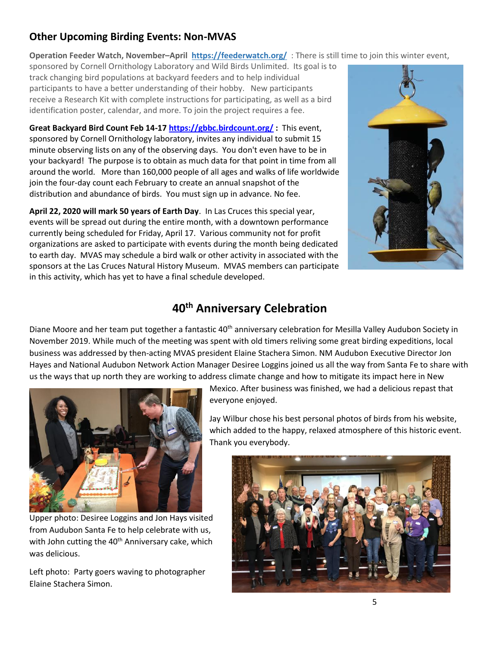### **Other Upcoming Birding Events: Non-MVAS**

**Operation Feeder Watch, November–April<https://feederwatch.org/>**: There is still time to join this winter event,

sponsored by Cornell Ornithology Laboratory and Wild Birds Unlimited. Its goal is to track changing bird populations at backyard feeders and to help individual participants to have a better understanding of their hobby. New participants receive a Research Kit with complete instructions for participating, as well as a bird identification poster, calendar, and more. To join the project requires a fee.

**Great Backyard Bird Count Feb 14-1[7 https://gbbc.birdcount.org/](https://gbbc.birdcount.org/) :** This event, sponsored by Cornell Ornithology laboratory, invites any individual to submit 15 minute observing lists on any of the observing days. You don't even have to be in your backyard! The purpose is to obtain as much data for that point in time from all around the world. More than 160,000 people of all ages and walks of life worldwide join the four-day count each February to create an annual snapshot of the distribution and abundance of birds. You must sign up in advance. No fee.

**April 22, 2020 will mark 50 years of Earth Day**. In Las Cruces this special year, events will be spread out during the entire month, with a downtown performance currently being scheduled for Friday, April 17. Various community not for profit organizations are asked to participate with events during the month being dedicated to earth day. MVAS may schedule a bird walk or other activity in associated with the sponsors at the Las Cruces Natural History Museum. MVAS members can participate in this activity, which has yet to have a final schedule developed.



# **40th Anniversary Celebration**

Diane Moore and her team put together a fantastic 40<sup>th</sup> anniversary celebration for Mesilla Valley Audubon Society in November 2019. While much of the meeting was spent with old timers reliving some great birding expeditions, local business was addressed by then-acting MVAS president Elaine Stachera Simon. NM Audubon Executive Director Jon Hayes and National Audubon Network Action Manager Desiree Loggins joined us all the way from Santa Fe to share with us the ways that up north they are working to address climate change and how to mitigate its impact here in New



Upper photo: Desiree Loggins and Jon Hays visited from Audubon Santa Fe to help celebrate with us, with John cutting the 40<sup>th</sup> Anniversary cake, which was delicious.

Left photo: Party goers waving to photographer Elaine Stachera Simon.

Mexico. After business was finished, we had a delicious repast that everyone enjoyed.

Jay Wilbur chose his best personal photos of birds from his website, which added to the happy, relaxed atmosphere of this historic event. Thank you everybody.

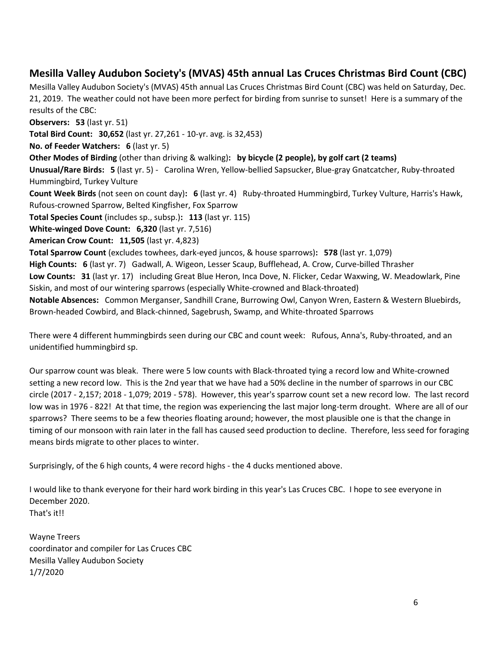### **Mesilla Valley Audubon Society's (MVAS) 45th annual Las Cruces Christmas Bird Count (CBC)**

Mesilla Valley Audubon Society's (MVAS) 45th annual Las Cruces Christmas Bird Count (CBC) was held on Saturday, Dec. 21, 2019. The weather could not have been more perfect for birding from sunrise to sunset! Here is a summary of the results of the CBC:

**Observers: 53** (last yr. 51) **Total Bird Count: 30,652** (last yr. 27,261 - 10-yr. avg. is 32,453) **No. of Feeder Watchers: 6** (last yr. 5) **Other Modes of Birding** (other than driving & walking)**: by bicycle (2 people), by golf cart (2 teams) Unusual/Rare Birds: 5** (last yr. 5) - Carolina Wren, Yellow-bellied Sapsucker, Blue-gray Gnatcatcher, Ruby-throated Hummingbird, Turkey Vulture **Count Week Birds** (not seen on count day)**: 6** (last yr. 4) Ruby-throated Hummingbird, Turkey Vulture, Harris's Hawk, Rufous-crowned Sparrow, Belted Kingfisher, Fox Sparrow **Total Species Count** (includes sp., subsp.)**: 113** (last yr. 115) **White-winged Dove Count: 6,320** (last yr. 7,516) **American Crow Count: 11,505** (last yr. 4,823) **Total Sparrow Count** (excludes towhees, dark-eyed juncos, & house sparrows)**: 578** (last yr. 1,079) **High Counts: 6** (last yr. 7) Gadwall, A. Wigeon, Lesser Scaup, Bufflehead, A. Crow, Curve-billed Thrasher **Low Counts: 31** (last yr. 17) including Great Blue Heron, Inca Dove, N. Flicker, Cedar Waxwing, W. Meadowlark, Pine Siskin, and most of our wintering sparrows (especially White-crowned and Black-throated) **Notable Absences:** Common Merganser, Sandhill Crane, Burrowing Owl, Canyon Wren, Eastern & Western Bluebirds, Brown-headed Cowbird, and Black-chinned, Sagebrush, Swamp, and White-throated Sparrows

There were 4 different hummingbirds seen during our CBC and count week: Rufous, Anna's, Ruby-throated, and an unidentified hummingbird sp.

Our sparrow count was bleak. There were 5 low counts with Black-throated tying a record low and White-crowned setting a new record low. This is the 2nd year that we have had a 50% decline in the number of sparrows in our CBC circle (2017 - 2,157; 2018 - 1,079; 2019 - 578). However, this year's sparrow count set a new record low. The last record low was in 1976 - 822! At that time, the region was experiencing the last major long-term drought. Where are all of our sparrows? There seems to be a few theories floating around; however, the most plausible one is that the change in timing of our monsoon with rain later in the fall has caused seed production to decline. Therefore, less seed for foraging means birds migrate to other places to winter.

Surprisingly, of the 6 high counts, 4 were record highs - the 4 ducks mentioned above.

I would like to thank everyone for their hard work birding in this year's Las Cruces CBC. I hope to see everyone in December 2020. That's it!!

Wayne Treers coordinator and compiler for Las Cruces CBC Mesilla Valley Audubon Society 1/7/2020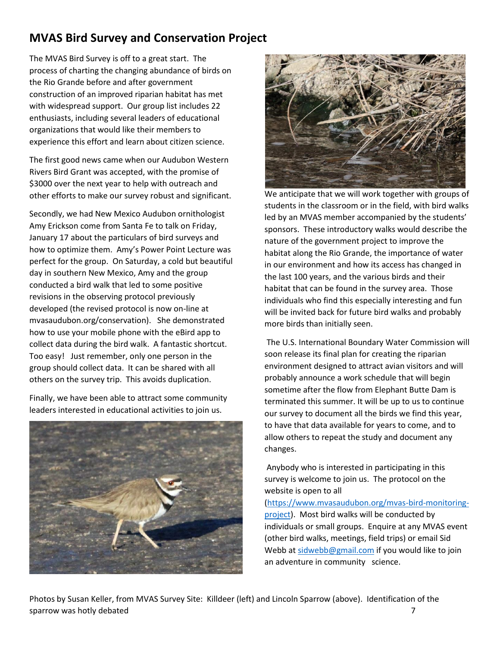# **MVAS Bird Survey and Conservation Project**

The MVAS Bird Survey is off to a great start. The process of charting the changing abundance of birds on the Rio Grande before and after government construction of an improved riparian habitat has met with widespread support. Our group list includes 22 enthusiasts, including several leaders of educational organizations that would like their members to experience this effort and learn about citizen science.

The first good news came when our Audubon Western Rivers Bird Grant was accepted, with the promise of \$3000 over the next year to help with outreach and other efforts to make our survey robust and significant.

Secondly, we had New Mexico Audubon ornithologist Amy Erickson come from Santa Fe to talk on Friday, January 17 about the particulars of bird surveys and how to optimize them. Amy's Power Point Lecture was perfect for the group. On Saturday, a cold but beautiful day in southern New Mexico, Amy and the group conducted a bird walk that led to some positive revisions in the observing protocol previously developed (the revised protocol is now on-line at mvasaudubon.org/conservation). She demonstrated how to use your mobile phone with the eBird app to collect data during the bird walk. A fantastic shortcut. Too easy! Just remember, only one person in the group should collect data. It can be shared with all others on the survey trip. This avoids duplication.

Finally, we have been able to attract some community leaders interested in educational activities to join us.





We anticipate that we will work together with groups of students in the classroom or in the field, with bird walks led by an MVAS member accompanied by the students' sponsors. These introductory walks would describe the nature of the government project to improve the habitat along the Rio Grande, the importance of water in our environment and how its access has changed in the last 100 years, and the various birds and their habitat that can be found in the survey area. Those individuals who find this especially interesting and fun will be invited back for future bird walks and probably more birds than initially seen.

The U.S. International Boundary Water Commission will soon release its final plan for creating the riparian environment designed to attract avian visitors and will probably announce a work schedule that will begin sometime after the flow from Elephant Butte Dam is terminated this summer. It will be up to us to continue our survey to document all the birds we find this year, to have that data available for years to come, and to allow others to repeat the study and document any changes.

Anybody who is interested in participating in this survey is welcome to join us. The protocol on the website is open to all

[\(https://www.mvasaudubon.org/mvas-bird-monitoring](https://www.mvasaudubon.org/mvas-bird-monitoring-project)[project\)](https://www.mvasaudubon.org/mvas-bird-monitoring-project). Most bird walks will be conducted by individuals or small groups. Enquire at any MVAS event (other bird walks, meetings, field trips) or email Sid Webb a[t sidwebb@gmail.com](mailto:sidwebb@gmail.com) if you would like to join an adventure in community science.

Photos by Susan Keller, from MVAS Survey Site: Killdeer (left) and Lincoln Sparrow (above). Identification of the sparrow was hotly debated **7**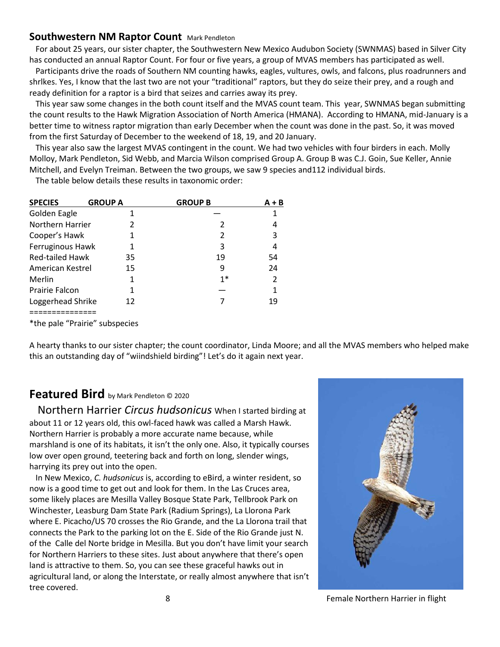### **Southwestern NM Raptor Count Mark Pendleton**

 For about 25 years, our sister chapter, the Southwestern New Mexico Audubon Society (SWNMAS) based in Silver City has conducted an annual Raptor Count. For four or five years, a group of MVAS members has participated as well.

 Participants drive the roads of Southern NM counting hawks, eagles, vultures, owls, and falcons, plus roadrunners and shrlkes. Yes, I know that the last two are not your "traditional" raptors, but they do seize their prey, and a rough and ready definition for a raptor is a bird that seizes and carries away its prey.

 This year saw some changes in the both count itself and the MVAS count team. This year, SWNMAS began submitting the count results to the Hawk Migration Association of North America (HMANA). According to HMANA, mid-January is a better time to witness raptor migration than early December when the count was done in the past. So, it was moved from the first Saturday of December to the weekend of 18, 19, and 20 January.

 This year also saw the largest MVAS contingent in the count. We had two vehicles with four birders in each. Molly Molloy, Mark Pendleton, Sid Webb, and Marcia Wilson comprised Group A. Group B was C.J. Goin, Sue Keller, Annie Mitchell, and Evelyn Treiman. Between the two groups, we saw 9 species and112 individual birds.

The table below details these results in taxonomic order:

| <b>SPECIES</b>         | <b>GROUP A</b> | <b>GROUP B</b> | $A + B$ |
|------------------------|----------------|----------------|---------|
| Golden Eagle           |                |                |         |
| Northern Harrier       |                |                |         |
| Cooper's Hawk          |                | 2              | 3       |
| Ferruginous Hawk       |                | 3              | 4       |
| <b>Red-tailed Hawk</b> | 35             | 19             | 54      |
| American Kestrel       | 15             | 9              | 24      |
| Merlin                 | 1              | $1*$           | 2       |
| <b>Prairie Falcon</b>  | 1              |                |         |
| Loggerhead Shrike      | 12             |                | 19      |
|                        |                |                |         |

\*the pale "Prairie" subspecies

A hearty thanks to our sister chapter; the count coordinator, Linda Moore; and all the MVAS members who helped make this an outstanding day of "wiindshield birding"! Let's do it again next year.

### **Featured Bird** by Mark Pendleton © 2020

 Northern Harrier *Circus hudsonicus* When I started birding at about 11 or 12 years old, this owl-faced hawk was called a Marsh Hawk. Northern Harrier is probably a more accurate name because, while marshland is one of its habitats, it isn't the only one. Also, it typically courses low over open ground, teetering back and forth on long, slender wings, harrying its prey out into the open.

 In New Mexico, *C. hudsonicus* is, according to eBird, a winter resident, so now is a good time to get out and look for them. In the Las Cruces area, some likely places are Mesilla Valley Bosque State Park, Tellbrook Park on Winchester, Leasburg Dam State Park (Radium Springs), La Llorona Park where E. Picacho/US 70 crosses the Rio Grande, and the La Llorona trail that connects the Park to the parking lot on the E. Side of the Rio Grande just N. of the Calle del Norte bridge in Mesilla. But you don't have limit your search for Northern Harriers to these sites. Just about anywhere that there's open land is attractive to them. So, you can see these graceful hawks out in agricultural land, or along the Interstate, or really almost anywhere that isn't tree covered.



8 Female Northern Harrier in flight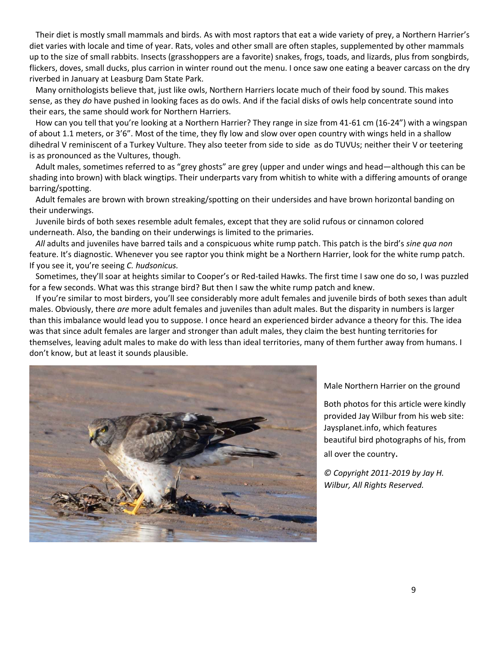Their diet is mostly small mammals and birds. As with most raptors that eat a wide variety of prey, a Northern Harrier's diet varies with locale and time of year. Rats, voles and other small are often staples, supplemented by other mammals up to the size of small rabbits. Insects (grasshoppers are a favorite) snakes, frogs, toads, and lizards, plus from songbirds, flickers, doves, small ducks, plus carrion in winter round out the menu. I once saw one eating a beaver carcass on the dry riverbed in January at Leasburg Dam State Park.

 Many ornithologists believe that, just like owls, Northern Harriers locate much of their food by sound. This makes sense, as they *do* have pushed in looking faces as do owls. And if the facial disks of owls help concentrate sound into their ears, the same should work for Northern Harriers.

 How can you tell that you're looking at a Northern Harrier? They range in size from 41-61 cm (16-24") with a wingspan of about 1.1 meters, or 3'6". Most of the time, they fly low and slow over open country with wings held in a shallow dihedral V reminiscent of a Turkey Vulture. They also teeter from side to side as do TUVUs; neither their V or teetering is as pronounced as the Vultures, though.

 Adult males, sometimes referred to as "grey ghosts" are grey (upper and under wings and head—although this can be shading into brown) with black wingtips. Their underparts vary from whitish to white with a differing amounts of orange barring/spotting.

 Adult females are brown with brown streaking/spotting on their undersides and have brown horizontal banding on their underwings.

 Juvenile birds of both sexes resemble adult females, except that they are solid rufous or cinnamon colored underneath. Also, the banding on their underwings is limited to the primaries.

 *All* adults and juveniles have barred tails and a conspicuous white rump patch. This patch is the bird's *sine qua non* feature. It's diagnostic. Whenever you see raptor you think might be a Northern Harrier, look for the white rump patch. If you see it, you're seeing *C. hudsonicus.* 

 Sometimes, they'll soar at heights similar to Cooper's or Red-tailed Hawks. The first time I saw one do so, I was puzzled for a few seconds. What was this strange bird? But then I saw the white rump patch and knew.

 If you're similar to most birders, you'll see considerably more adult females and juvenile birds of both sexes than adult males. Obviously, there *are* more adult females and juveniles than adult males. But the disparity in numbers is larger than this imbalance would lead you to suppose. I once heard an experienced birder advance a theory for this. The idea was that since adult females are larger and stronger than adult males, they claim the best hunting territories for themselves, leaving adult males to make do with less than ideal territories, many of them further away from humans. I don't know, but at least it sounds plausible.



Male Northern Harrier on the ground

Both photos for this article were kindly provided Jay Wilbur from his web site: Jaysplanet.info, which features beautiful bird photographs of his, from all over the country.

*© Copyright 2011-2019 by Jay H. Wilbur, All Rights Reserved.*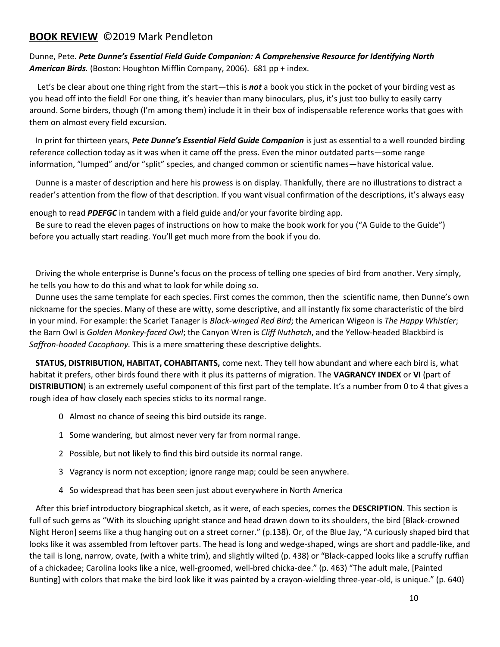### **BOOK REVIEW** ©2019 Mark Pendleton

Dunne, Pete. *Pete Dunne's Essential Field Guide Companion: A Comprehensive Resource for Identifying North American Birds.* (Boston: Houghton Mifflin Company, 2006). 681 pp + index.

 Let's be clear about one thing right from the start—this is *not* a book you stick in the pocket of your birding vest as you head off into the field! For one thing, it's heavier than many binoculars, plus, it's just too bulky to easily carry around. Some birders, though (I'm among them) include it in their box of indispensable reference works that goes with them on almost every field excursion.

 In print for thirteen years, *Pete Dunne's Essential Field Guide Companion* is just as essential to a well rounded birding reference collection today as it was when it came off the press. Even the minor outdated parts—some range information, "lumped" and/or "split" species, and changed common or scientific names—have historical value.

 Dunne is a master of description and here his prowess is on display. Thankfully, there are no illustrations to distract a reader's attention from the flow of that description. If you want visual confirmation of the descriptions, it's always easy

enough to read *PDEFGC* in tandem with a field guide and/or your favorite birding app.

 Be sure to read the eleven pages of instructions on how to make the book work for you ("A Guide to the Guide") before you actually start reading. You'll get much more from the book if you do.

 Driving the whole enterprise is Dunne's focus on the process of telling one species of bird from another. Very simply, he tells you how to do this and what to look for while doing so.

 Dunne uses the same template for each species. First comes the common, then the scientific name, then Dunne's own nickname for the species. Many of these are witty, some descriptive, and all instantly fix some characteristic of the bird in your mind. For example: the Scarlet Tanager is *Black-winged Red Bird*; the American Wigeon is *The Happy Whistler*; the Barn Owl is *Golden Monkey-faced Owl*; the Canyon Wren is *Cliff Nuthatch*, and the Yellow-headed Blackbird is *Saffron-hooded Cacophony.* This is a mere smattering these descriptive delights.

 **STATUS, DISTRIBUTION, HABITAT, COHABITANTS,** come next. They tell how abundant and where each bird is, what habitat it prefers, other birds found there with it plus its patterns of migration. The **VAGRANCY INDEX** or **VI** (part of **DISTRIBUTION**) is an extremely useful component of this first part of the template. It's a number from 0 to 4 that gives a rough idea of how closely each species sticks to its normal range.

- 0 Almost no chance of seeing this bird outside its range.
- 1 Some wandering, but almost never very far from normal range.
- 2 Possible, but not likely to find this bird outside its normal range.
- 3 Vagrancy is norm not exception; ignore range map; could be seen anywhere.
- 4 So widespread that has been seen just about everywhere in North America

 After this brief introductory biographical sketch, as it were, of each species, comes the **DESCRIPTION**. This section is full of such gems as "With its slouching upright stance and head drawn down to its shoulders, the bird [Black-crowned Night Heron] seems like a thug hanging out on a street corner." (p.138). Or, of the Blue Jay, "A curiously shaped bird that looks like it was assembled from leftover parts. The head is long and wedge-shaped, wings are short and paddle-like, and the tail is long, narrow, ovate, (with a white trim), and slightly wilted (p. 438) or "Black-capped looks like a scruffy ruffian of a chickadee; Carolina looks like a nice, well-groomed, well-bred chicka-dee." (p. 463) "The adult male, [Painted Bunting] with colors that make the bird look like it was painted by a crayon-wielding three-year-old, is unique." (p. 640)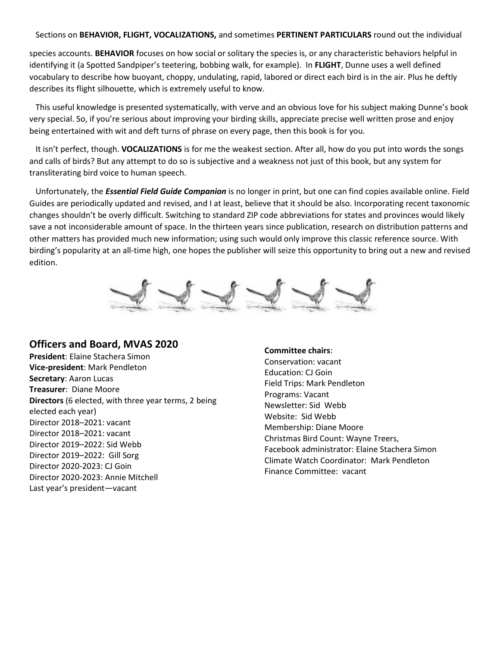#### Sections on **BEHAVIOR, FLIGHT, VOCALIZATIONS,** and sometimes **PERTINENT PARTICULARS** round out the individual

species accounts. **BEHAVIOR** focuses on how social or solitary the species is, or any characteristic behaviors helpful in identifying it (a Spotted Sandpiper's teetering, bobbing walk, for example). In **FLIGHT**, Dunne uses a well defined vocabulary to describe how buoyant, choppy, undulating, rapid, labored or direct each bird is in the air. Plus he deftly describes its flight silhouette, which is extremely useful to know.

 This useful knowledge is presented systematically, with verve and an obvious love for his subject making Dunne's book very special. So, if you're serious about improving your birding skills, appreciate precise well written prose and enjoy being entertained with wit and deft turns of phrase on every page, then this book is for you.

 It isn't perfect, though. **VOCALIZATIONS** is for me the weakest section. After all, how do you put into words the songs and calls of birds? But any attempt to do so is subjective and a weakness not just of this book, but any system for transliterating bird voice to human speech.

 Unfortunately, the *Essential Field Guide Companion* is no longer in print, but one can find copies available online. Field Guides are periodically updated and revised, and I at least, believe that it should be also. Incorporating recent taxonomic changes shouldn't be overly difficult. Switching to standard ZIP code abbreviations for states and provinces would likely save a not inconsiderable amount of space. In the thirteen years since publication, research on distribution patterns and other matters has provided much new information; using such would only improve this classic reference source. With birding's popularity at an all-time high, one hopes the publisher will seize this opportunity to bring out a new and revised edition.



### **Officers and Board, MVAS 2020**

**President**: Elaine Stachera Simon **Vice-president**: Mark Pendleton **Secretary**: Aaron Lucas **Treasurer**: Diane Moore **Directors** (6 elected, with three year terms, 2 being elected each year) Director 2018–2021: vacant Director 2018–2021: vacant Director 2019–2022: Sid Webb Director 2019–2022: Gill Sorg Director 2020-2023: CJ Goin Director 2020-2023: Annie Mitchell Last year's president—vacant

#### **Committee chairs**:

Conservation: vacant Education: CJ Goin Field Trips: Mark Pendleton Programs: Vacant Newsletter: Sid Webb Website: Sid Webb Membership: Diane Moore Christmas Bird Count: Wayne Treers, Facebook administrator: Elaine Stachera Simon Climate Watch Coordinator: Mark Pendleton Finance Committee: vacant